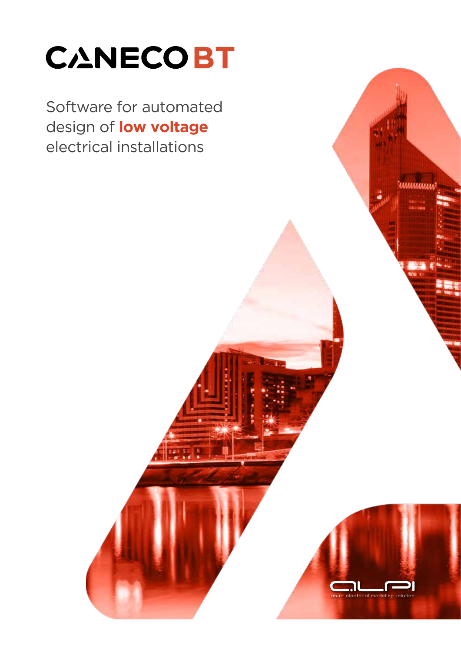# **CANECOBT**

Software for automated design of **low voltage** electrical installations

ectrical modeling

**MMMMMM**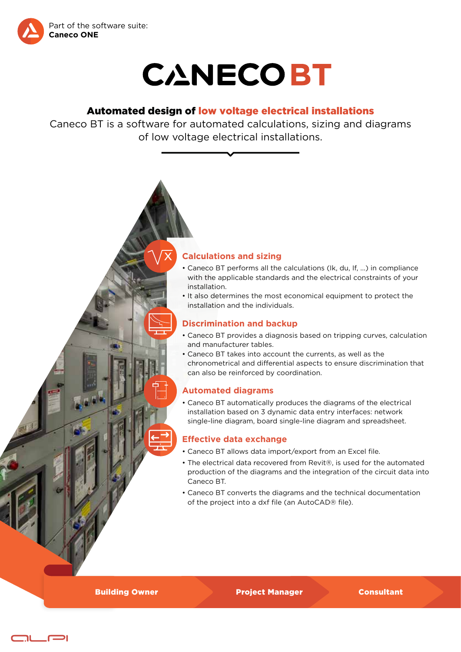



# Automated design of low voltage electrical installations

Caneco BT is a software for automated calculations, sizing and diagrams of low voltage electrical installations.



- Caneco BT performs all the calculations (Ik, du, If, ...) in compliance with the applicable standards and the electrical constraints of your installation.
- It also determines the most economical equipment to protect the installation and the individuals.

# **Discrimination and backup**

- Caneco BT provides a diagnosis based on tripping curves, calculation and manufacturer tables.
- Caneco BT takes into account the currents, as well as the chronometrical and differential aspects to ensure discrimination that can also be reinforced by coordination.

# **Automated diagrams**

• Caneco BT automatically produces the diagrams of the electrical installation based on 3 dynamic data entry interfaces: network single-line diagram, board single-line diagram and spreadsheet.

# **Effective data exchange**

- Caneco BT allows data import/export from an Excel file.
- The electrical data recovered from Revit®, is used for the automated production of the diagrams and the integration of the circuit data into Caneco BT.
- Caneco BT converts the diagrams and the technical documentation of the project into a dxf file (an AutoCAD® file).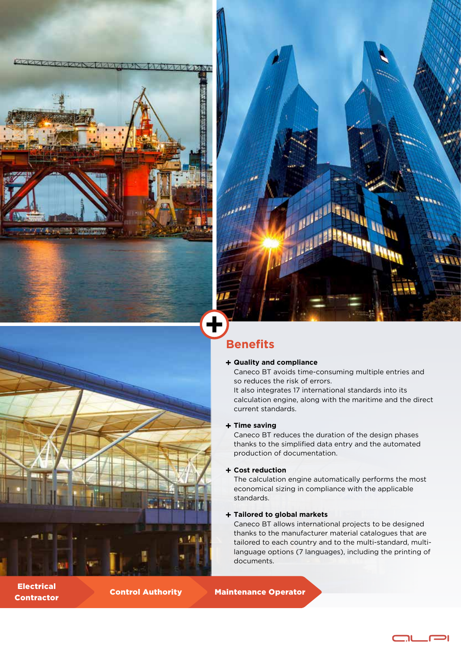LVW





# **Benefits**

## **Quality and compliance**

Caneco BT avoids time-consuming multiple entries and so reduces the risk of errors.

It also integrates 17 international standards into its calculation engine, along with the maritime and the direct current standards.

## **Time saving**

Caneco BT reduces the duration of the design phases thanks to the simplified data entry and the automated production of documentation.

## **Cost reduction**

The calculation engine automatically performs the most economical sizing in compliance with the applicable standards.

## **Tailored to global markets**

Caneco BT allows international projects to be designed thanks to the manufacturer material catalogues that are tailored to each country and to the multi-standard, multilanguage options (7 languages), including the printing of documents.

ור

Contractor Control Authority Maintenance Operator

Electrical

 $\mathbf{a}$  ,  $\mathbf{b}$  ,  $\mathbf{b}$  ,  $\mathbf{b}$ 

**M** 1